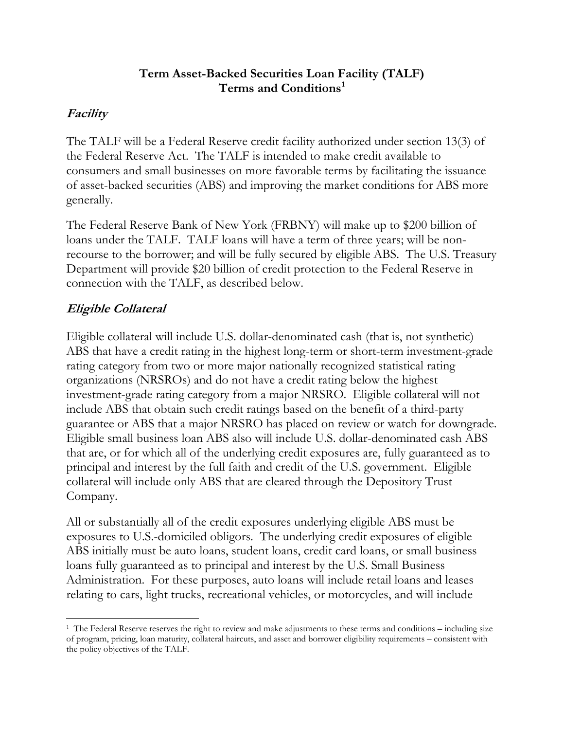### **Term Asset-Backed Securities Loan Facility (TALF) Terms and Conditions[1](#page-0-0)**

## **Facility**

The TALF will be a Federal Reserve credit facility authorized under section 13(3) of the Federal Reserve Act. The TALF is intended to make credit available to consumers and small businesses on more favorable terms by facilitating the issuance of asset-backed securities (ABS) and improving the market conditions for ABS more generally.

The Federal Reserve Bank of New York (FRBNY) will make up to \$200 billion of loans under the TALF. TALF loans will have a term of three years; will be nonrecourse to the borrower; and will be fully secured by eligible ABS. The U.S. Treasury Department will provide \$20 billion of credit protection to the Federal Reserve in connection with the TALF, as described below.

# **Eligible Collateral**

Eligible collateral will include U.S. dollar-denominated cash (that is, not synthetic) ABS that have a credit rating in the highest long-term or short-term investment-grade rating category from two or more major nationally recognized statistical rating organizations (NRSROs) and do not have a credit rating below the highest investment-grade rating category from a major NRSRO. Eligible collateral will not include ABS that obtain such credit ratings based on the benefit of a third-party guarantee or ABS that a major NRSRO has placed on review or watch for downgrade. Eligible small business loan ABS also will include U.S. dollar-denominated cash ABS that are, or for which all of the underlying credit exposures are, fully guaranteed as to principal and interest by the full faith and credit of the U.S. government. Eligible collateral will include only ABS that are cleared through the Depository Trust Company.

All or substantially all of the credit exposures underlying eligible ABS must be exposures to U.S.-domiciled obligors. The underlying credit exposures of eligible ABS initially must be auto loans, student loans, credit card loans, or small business loans fully guaranteed as to principal and interest by the U.S. Small Business Administration. For these purposes, auto loans will include retail loans and leases relating to cars, light trucks, recreational vehicles, or motorcycles, and will include

<span id="page-0-0"></span> <sup>1</sup> The Federal Reserve reserves the right to review and make adjustments to these terms and conditions – including size of program, pricing, loan maturity, collateral haircuts, and asset and borrower eligibility requirements – consistent with the policy objectives of the TALF.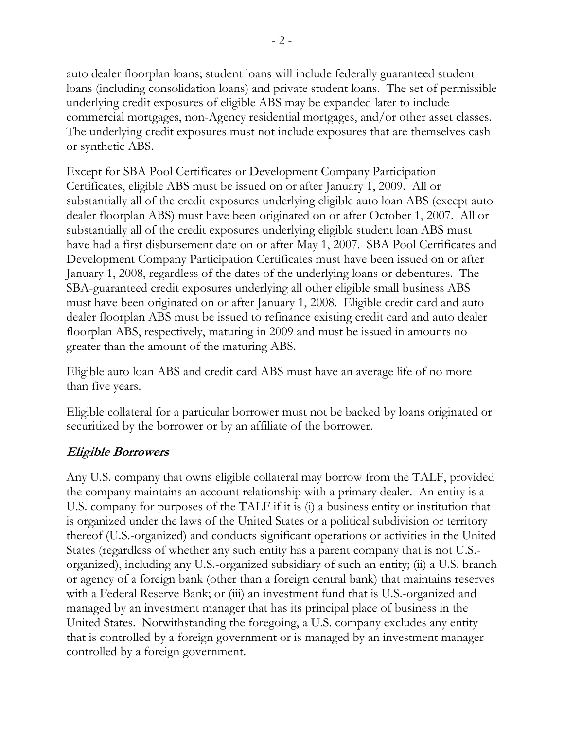auto dealer floorplan loans; student loans will include federally guaranteed student loans (including consolidation loans) and private student loans. The set of permissible underlying credit exposures of eligible ABS may be expanded later to include commercial mortgages, non-Agency residential mortgages, and/or other asset classes. The underlying credit exposures must not include exposures that are themselves cash or synthetic ABS.

Except for SBA Pool Certificates or Development Company Participation Certificates, eligible ABS must be issued on or after January 1, 2009. All or substantially all of the credit exposures underlying eligible auto loan ABS (except auto dealer floorplan ABS) must have been originated on or after October 1, 2007. All or substantially all of the credit exposures underlying eligible student loan ABS must have had a first disbursement date on or after May 1, 2007. SBA Pool Certificates and Development Company Participation Certificates must have been issued on or after January 1, 2008, regardless of the dates of the underlying loans or debentures. The SBA-guaranteed credit exposures underlying all other eligible small business ABS must have been originated on or after January 1, 2008. Eligible credit card and auto dealer floorplan ABS must be issued to refinance existing credit card and auto dealer floorplan ABS, respectively, maturing in 2009 and must be issued in amounts no greater than the amount of the maturing ABS.

Eligible auto loan ABS and credit card ABS must have an average life of no more than five years.

Eligible collateral for a particular borrower must not be backed by loans originated or securitized by the borrower or by an affiliate of the borrower.

## **Eligible Borrowers**

Any U.S. company that owns eligible collateral may borrow from the TALF, provided the company maintains an account relationship with a primary dealer. An entity is a U.S. company for purposes of the TALF if it is (i) a business entity or institution that is organized under the laws of the United States or a political subdivision or territory thereof (U.S.-organized) and conducts significant operations or activities in the United States (regardless of whether any such entity has a parent company that is not U.S. organized), including any U.S.-organized subsidiary of such an entity; (ii) a U.S. branch or agency of a foreign bank (other than a foreign central bank) that maintains reserves with a Federal Reserve Bank; or (iii) an investment fund that is U.S.-organized and managed by an investment manager that has its principal place of business in the United States. Notwithstanding the foregoing, a U.S. company excludes any entity that is controlled by a foreign government or is managed by an investment manager controlled by a foreign government.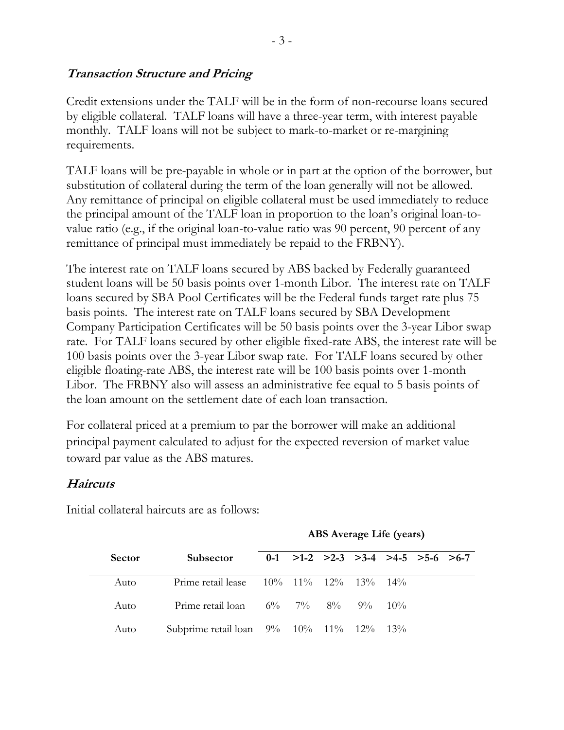### **Transaction Structure and Pricing**

Credit extensions under the TALF will be in the form of non-recourse loans secured by eligible collateral. TALF loans will have a three-year term, with interest payable monthly. TALF loans will not be subject to mark-to-market or re-margining requirements.

TALF loans will be pre-payable in whole or in part at the option of the borrower, but substitution of collateral during the term of the loan generally will not be allowed. Any remittance of principal on eligible collateral must be used immediately to reduce the principal amount of the TALF loan in proportion to the loan's original loan-tovalue ratio (e.g., if the original loan-to-value ratio was 90 percent, 90 percent of any remittance of principal must immediately be repaid to the FRBNY).

The interest rate on TALF loans secured by ABS backed by Federally guaranteed student loans will be 50 basis points over 1-month Libor. The interest rate on TALF loans secured by SBA Pool Certificates will be the Federal funds target rate plus 75 basis points. The interest rate on TALF loans secured by SBA Development Company Participation Certificates will be 50 basis points over the 3-year Libor swap rate. For TALF loans secured by other eligible fixed-rate ABS, the interest rate will be 100 basis points over the 3-year Libor swap rate. For TALF loans secured by other eligible floating-rate ABS, the interest rate will be 100 basis points over 1-month Libor. The FRBNY also will assess an administrative fee equal to 5 basis points of the loan amount on the settlement date of each loan transaction.

For collateral priced at a premium to par the borrower will make an additional principal payment calculated to adjust for the expected reversion of market value toward par value as the ABS matures.

## **Haircuts**

Initial collateral haircuts are as follows:

**ABS Average Life (years)** 

| <b>Sector</b> | <b>Subsector</b>                                      |  | $0-1$ >1-2 >2-3 >3-4 >4-5 >5-6 >6-7 |  |  |
|---------------|-------------------------------------------------------|--|-------------------------------------|--|--|
| Auto          | Prime retail lease $10\%$ $11\%$ $12\%$ $13\%$ $14\%$ |  |                                     |  |  |
| Auto          | Prime retail loan $6\%$ $7\%$ $8\%$ $9\%$ $10\%$      |  |                                     |  |  |
| Auto          | Subprime retail loan 9% 10% 11% 12% 13%               |  |                                     |  |  |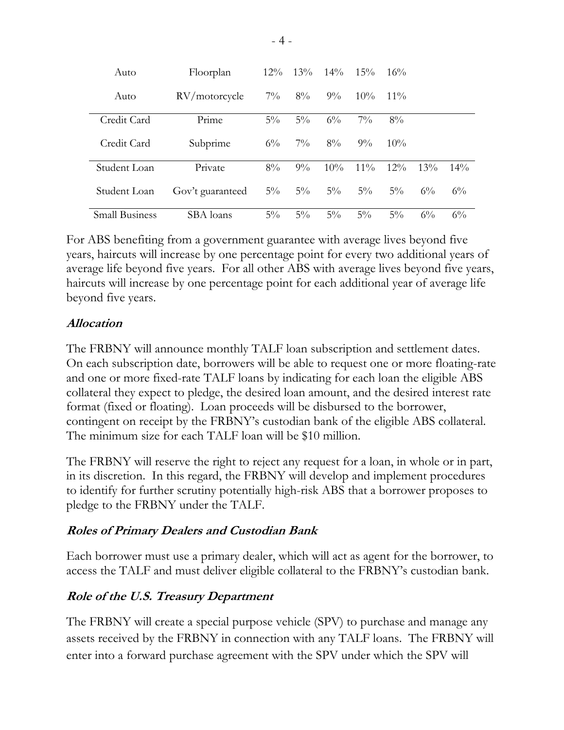| Auto                  | Floorplan        | $12\%$ | $13\%$ | $14\%$ | $15\%$ | 16%    |        |        |
|-----------------------|------------------|--------|--------|--------|--------|--------|--------|--------|
| Auto                  | RV/motorcycle    | $7\%$  | $8\%$  | $9\%$  | $10\%$ | $11\%$ |        |        |
| Credit Card           | Prime            | $5\%$  | $5\%$  | $6\%$  | $7\%$  | $8\%$  |        |        |
| Credit Card           | Subprime         | $6\%$  | $7\%$  | $8\%$  | $9\%$  | $10\%$ |        |        |
| Student Loan          | Private          | $8\%$  | $9\%$  | $10\%$ | $11\%$ | $12\%$ | $13\%$ | $14\%$ |
| Student Loan          | Gov't guaranteed | $5\%$  | $5\%$  | $5\%$  | $5\%$  | $5\%$  | $6\%$  | $6\%$  |
| <b>Small Business</b> | SBA loans        | $5\%$  | $5\%$  | $5\%$  | $5\%$  | $5\%$  | $6\%$  | $6\%$  |

For ABS benefiting from a government guarantee with average lives beyond five years, haircuts will increase by one percentage point for every two additional years of average life beyond five years. For all other ABS with average lives beyond five years, haircuts will increase by one percentage point for each additional year of average life beyond five years.

### **Allocation**

The FRBNY will announce monthly TALF loan subscription and settlement dates. On each subscription date, borrowers will be able to request one or more floating-rate and one or more fixed-rate TALF loans by indicating for each loan the eligible ABS collateral they expect to pledge, the desired loan amount, and the desired interest rate format (fixed or floating). Loan proceeds will be disbursed to the borrower, contingent on receipt by the FRBNY's custodian bank of the eligible ABS collateral. The minimum size for each TALF loan will be \$10 million.

The FRBNY will reserve the right to reject any request for a loan, in whole or in part, in its discretion. In this regard, the FRBNY will develop and implement procedures to identify for further scrutiny potentially high-risk ABS that a borrower proposes to pledge to the FRBNY under the TALF.

### **Roles of Primary Dealers and Custodian Bank**

Each borrower must use a primary dealer, which will act as agent for the borrower, to access the TALF and must deliver eligible collateral to the FRBNY's custodian bank.

### **Role of the U.S. Treasury Department**

The FRBNY will create a special purpose vehicle (SPV) to purchase and manage any assets received by the FRBNY in connection with any TALF loans. The FRBNY will enter into a forward purchase agreement with the SPV under which the SPV will